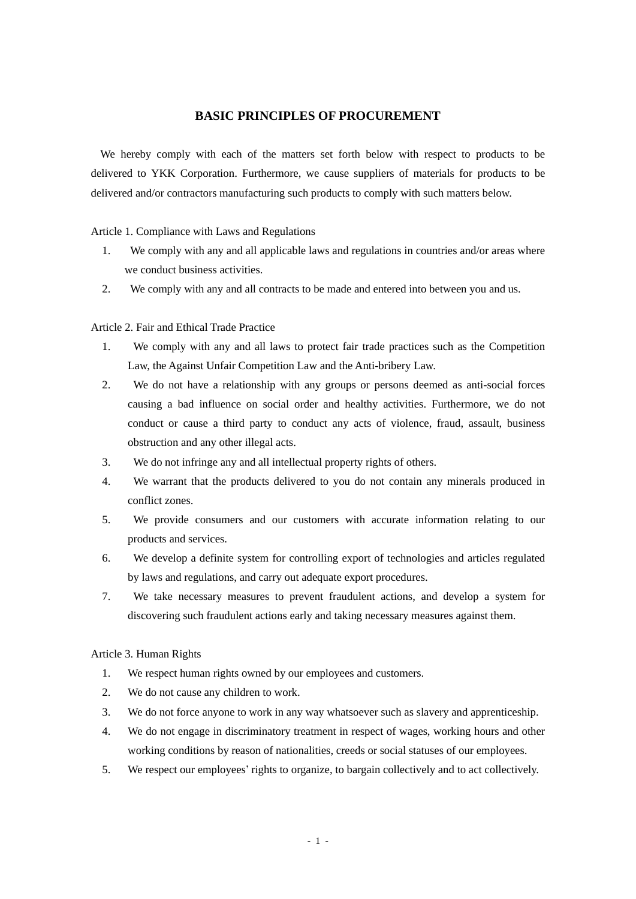# **BASIC PRINCIPLES OF PROCUREMENT**

We hereby comply with each of the matters set forth below with respect to products to be delivered to YKK Corporation. Furthermore, we cause suppliers of materials for products to be delivered and/or contractors manufacturing such products to comply with such matters below.

Article 1. Compliance with Laws and Regulations

- 1. We comply with any and all applicable laws and regulations in countries and/or areas where we conduct business activities.
- 2. We comply with any and all contracts to be made and entered into between you and us.

Article 2. Fair and Ethical Trade Practice

- 1. We comply with any and all laws to protect fair trade practices such as the Competition Law, the Against Unfair Competition Law and the Anti-bribery Law.
- 2. We do not have a relationship with any groups or persons deemed as anti-social forces causing a bad influence on social order and healthy activities. Furthermore, we do not conduct or cause a third party to conduct any acts of violence, fraud, assault, business obstruction and any other illegal acts.
- 3. We do not infringe any and all intellectual property rights of others.
- 4. We warrant that the products delivered to you do not contain any minerals produced in conflict zones.
- 5. We provide consumers and our customers with accurate information relating to our products and services.
- 6. We develop a definite system for controlling export of technologies and articles regulated by laws and regulations, and carry out adequate export procedures.
- 7. We take necessary measures to prevent fraudulent actions, and develop a system for discovering such fraudulent actions early and taking necessary measures against them.

Article 3. Human Rights

- 1. We respect human rights owned by our employees and customers.
- 2. We do not cause any children to work.
- 3. We do not force anyone to work in any way whatsoever such as slavery and apprenticeship.
- 4. We do not engage in discriminatory treatment in respect of wages, working hours and other working conditions by reason of nationalities, creeds or social statuses of our employees.
- 5. We respect our employees' rights to organize, to bargain collectively and to act collectively.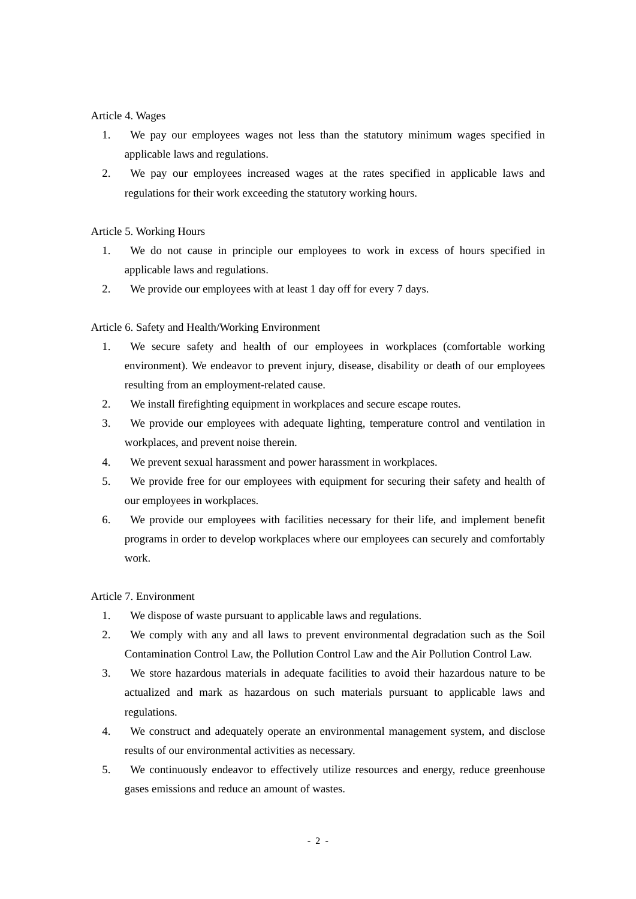## Article 4. Wages

- 1. We pay our employees wages not less than the statutory minimum wages specified in applicable laws and regulations.
- 2. We pay our employees increased wages at the rates specified in applicable laws and regulations for their work exceeding the statutory working hours.

## Article 5. Working Hours

- 1. We do not cause in principle our employees to work in excess of hours specified in applicable laws and regulations.
- 2. We provide our employees with at least 1 day off for every 7 days.

## Article 6. Safety and Health/Working Environment

- 1. We secure safety and health of our employees in workplaces (comfortable working environment). We endeavor to prevent injury, disease, disability or death of our employees resulting from an employment-related cause.
- 2. We install firefighting equipment in workplaces and secure escape routes.
- 3. We provide our employees with adequate lighting, temperature control and ventilation in workplaces, and prevent noise therein.
- 4. We prevent sexual harassment and power harassment in workplaces.
- 5. We provide free for our employees with equipment for securing their safety and health of our employees in workplaces.
- 6. We provide our employees with facilities necessary for their life, and implement benefit programs in order to develop workplaces where our employees can securely and comfortably work.

#### Article 7. Environment

- 1. We dispose of waste pursuant to applicable laws and regulations.
- 2. We comply with any and all laws to prevent environmental degradation such as the Soil Contamination Control Law, the Pollution Control Law and the Air Pollution Control Law.
- 3. We store hazardous materials in adequate facilities to avoid their hazardous nature to be actualized and mark as hazardous on such materials pursuant to applicable laws and regulations.
- 4. We construct and adequately operate an environmental management system, and disclose results of our environmental activities as necessary.
- 5. We continuously endeavor to effectively utilize resources and energy, reduce greenhouse gases emissions and reduce an amount of wastes.